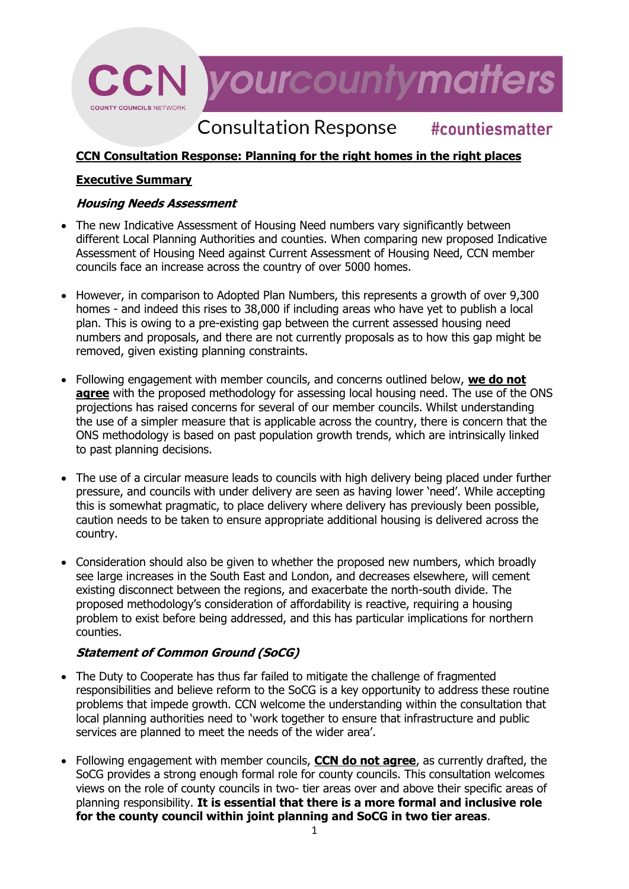# **CCN** yourcountymatters **COUNTY COUNCILS NETWORK**

#### **Consultation Response** #countiesmatter

# **CCN Consultation Response: Planning for the right homes in the right places**

## **Executive Summary**

#### **Housing Needs Assessment**

- The new Indicative Assessment of Housing Need numbers vary significantly between different Local Planning Authorities and counties. When comparing new proposed Indicative Assessment of Housing Need against Current Assessment of Housing Need, CCN member councils face an increase across the country of over 5000 homes.
- However, in comparison to Adopted Plan Numbers, this represents a growth of over 9,300 homes - and indeed this rises to 38,000 if including areas who have yet to publish a local plan. This is owing to a pre-existing gap between the current assessed housing need numbers and proposals, and there are not currently proposals as to how this gap might be removed, given existing planning constraints.
- Following engagement with member councils, and concerns outlined below, **we do not agree** with the proposed methodology for assessing local housing need. The use of the ONS projections has raised concerns for several of our member councils. Whilst understanding the use of a simpler measure that is applicable across the country, there is concern that the ONS methodology is based on past population growth trends, which are intrinsically linked to past planning decisions.
- The use of a circular measure leads to councils with high delivery being placed under further pressure, and councils with under delivery are seen as having lower 'need'. While accepting this is somewhat pragmatic, to place delivery where delivery has previously been possible, caution needs to be taken to ensure appropriate additional housing is delivered across the country.
- Consideration should also be given to whether the proposed new numbers, which broadly see large increases in the South East and London, and decreases elsewhere, will cement existing disconnect between the regions, and exacerbate the north-south divide. The proposed methodology's consideration of affordability is reactive, requiring a housing problem to exist before being addressed, and this has particular implications for northern counties.

# **Statement of Common Ground (SoCG)**

- The Duty to Cooperate has thus far failed to mitigate the challenge of fragmented responsibilities and believe reform to the SoCG is a key opportunity to address these routine problems that impede growth. CCN welcome the understanding within the consultation that local planning authorities need to 'work together to ensure that infrastructure and public services are planned to meet the needs of the wider area'.
- Following engagement with member councils, **CCN do not agree**, as currently drafted, the SoCG provides a strong enough formal role for county councils. This consultation welcomes views on the role of county councils in two- tier areas over and above their specific areas of planning responsibility. **It is essential that there is a more formal and inclusive role for the county council within joint planning and SoCG in two tier areas**.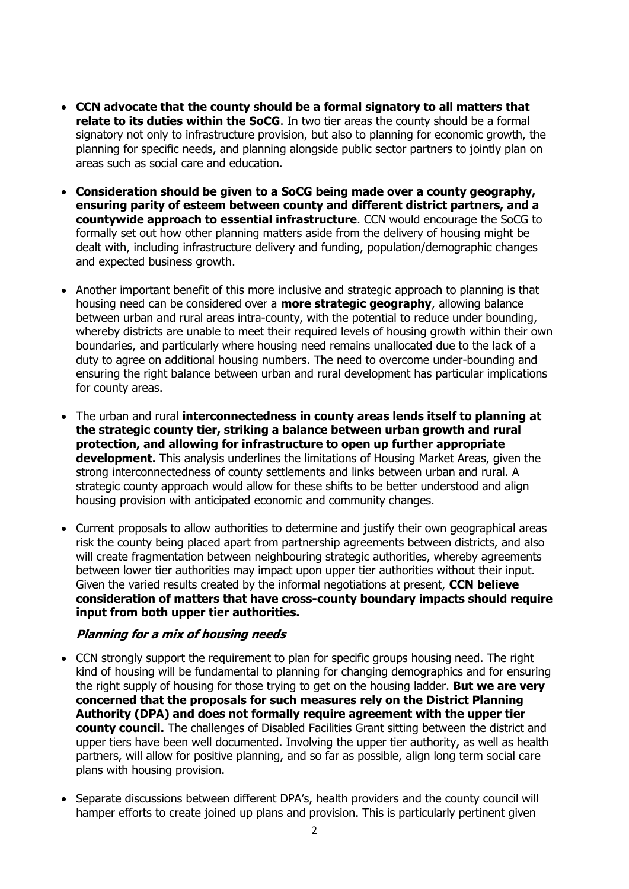- **CCN advocate that the county should be a formal signatory to all matters that relate to its duties within the SoCG**. In two tier areas the county should be a formal signatory not only to infrastructure provision, but also to planning for economic growth, the planning for specific needs, and planning alongside public sector partners to jointly plan on areas such as social care and education.
- **Consideration should be given to a SoCG being made over a county geography, ensuring parity of esteem between county and different district partners, and a countywide approach to essential infrastructure**. CCN would encourage the SoCG to formally set out how other planning matters aside from the delivery of housing might be dealt with, including infrastructure delivery and funding, population/demographic changes and expected business growth.
- Another important benefit of this more inclusive and strategic approach to planning is that housing need can be considered over a **more strategic geography**, allowing balance between urban and rural areas intra-county, with the potential to reduce under bounding, whereby districts are unable to meet their required levels of housing growth within their own boundaries, and particularly where housing need remains unallocated due to the lack of a duty to agree on additional housing numbers. The need to overcome under-bounding and ensuring the right balance between urban and rural development has particular implications for county areas.
- The urban and rural **interconnectedness in county areas lends itself to planning at the strategic county tier, striking a balance between urban growth and rural protection, and allowing for infrastructure to open up further appropriate development.** This analysis underlines the limitations of Housing Market Areas, given the strong interconnectedness of county settlements and links between urban and rural. A strategic county approach would allow for these shifts to be better understood and align housing provision with anticipated economic and community changes.
- Current proposals to allow authorities to determine and justify their own geographical areas risk the county being placed apart from partnership agreements between districts, and also will create fragmentation between neighbouring strategic authorities, whereby agreements between lower tier authorities may impact upon upper tier authorities without their input. Given the varied results created by the informal negotiations at present, **CCN believe consideration of matters that have cross-county boundary impacts should require input from both upper tier authorities.**

#### **Planning for a mix of housing needs**

- CCN strongly support the requirement to plan for specific groups housing need. The right kind of housing will be fundamental to planning for changing demographics and for ensuring the right supply of housing for those trying to get on the housing ladder. **But we are very concerned that the proposals for such measures rely on the District Planning Authority (DPA) and does not formally require agreement with the upper tier county council.** The challenges of Disabled Facilities Grant sitting between the district and upper tiers have been well documented. Involving the upper tier authority, as well as health partners, will allow for positive planning, and so far as possible, align long term social care plans with housing provision.
- Separate discussions between different DPA's, health providers and the county council will hamper efforts to create joined up plans and provision. This is particularly pertinent given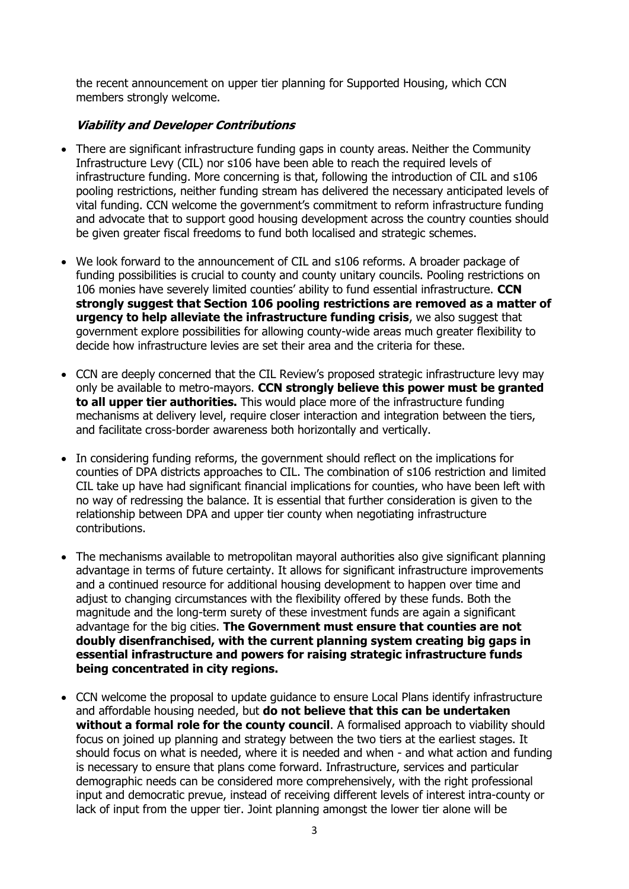the recent announcement on upper tier planning for Supported Housing, which CCN members strongly welcome.

#### **Viability and Developer Contributions**

- There are significant infrastructure funding gaps in county areas. Neither the Community Infrastructure Levy (CIL) nor s106 have been able to reach the required levels of infrastructure funding. More concerning is that, following the introduction of CIL and s106 pooling restrictions, neither funding stream has delivered the necessary anticipated levels of vital funding. CCN welcome the government's commitment to reform infrastructure funding and advocate that to support good housing development across the country counties should be given greater fiscal freedoms to fund both localised and strategic schemes.
- We look forward to the announcement of CIL and s106 reforms. A broader package of funding possibilities is crucial to county and county unitary councils. Pooling restrictions on 106 monies have severely limited counties' ability to fund essential infrastructure. **CCN strongly suggest that Section 106 pooling restrictions are removed as a matter of urgency to help alleviate the infrastructure funding crisis**, we also suggest that government explore possibilities for allowing county-wide areas much greater flexibility to decide how infrastructure levies are set their area and the criteria for these.
- CCN are deeply concerned that the CIL Review's proposed strategic infrastructure levy may only be available to metro-mayors. **CCN strongly believe this power must be granted to all upper tier authorities.** This would place more of the infrastructure funding mechanisms at delivery level, require closer interaction and integration between the tiers, and facilitate cross-border awareness both horizontally and vertically.
- In considering funding reforms, the government should reflect on the implications for counties of DPA districts approaches to CIL. The combination of s106 restriction and limited CIL take up have had significant financial implications for counties, who have been left with no way of redressing the balance. It is essential that further consideration is given to the relationship between DPA and upper tier county when negotiating infrastructure contributions.
- The mechanisms available to metropolitan mayoral authorities also give significant planning advantage in terms of future certainty. It allows for significant infrastructure improvements and a continued resource for additional housing development to happen over time and adjust to changing circumstances with the flexibility offered by these funds. Both the magnitude and the long-term surety of these investment funds are again a significant advantage for the big cities. **The Government must ensure that counties are not doubly disenfranchised, with the current planning system creating big gaps in essential infrastructure and powers for raising strategic infrastructure funds being concentrated in city regions.**
- CCN welcome the proposal to update guidance to ensure Local Plans identify infrastructure and affordable housing needed, but **do not believe that this can be undertaken**  without a formal role for the county council. A formalised approach to viability should focus on joined up planning and strategy between the two tiers at the earliest stages. It should focus on what is needed, where it is needed and when - and what action and funding is necessary to ensure that plans come forward. Infrastructure, services and particular demographic needs can be considered more comprehensively, with the right professional input and democratic prevue, instead of receiving different levels of interest intra-county or lack of input from the upper tier. Joint planning amongst the lower tier alone will be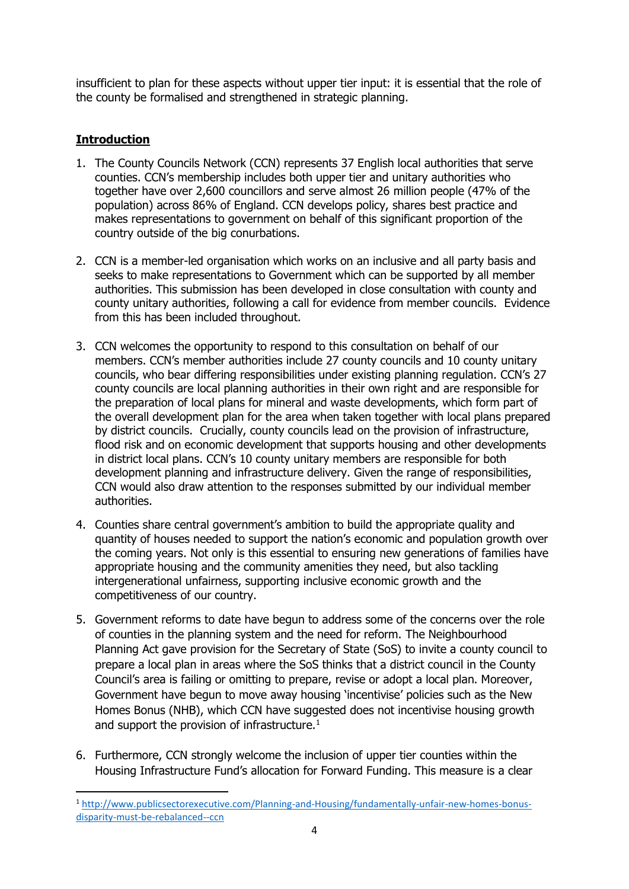insufficient to plan for these aspects without upper tier input: it is essential that the role of the county be formalised and strengthened in strategic planning.

# **Introduction**

- 1. The County Councils Network (CCN) represents 37 English local authorities that serve counties. CCN's membership includes both upper tier and unitary authorities who together have over 2,600 councillors and serve almost 26 million people (47% of the population) across 86% of England. CCN develops policy, shares best practice and makes representations to government on behalf of this significant proportion of the country outside of the big conurbations.
- 2. CCN is a member-led organisation which works on an inclusive and all party basis and seeks to make representations to Government which can be supported by all member authorities. This submission has been developed in close consultation with county and county unitary authorities, following a call for evidence from member councils. Evidence from this has been included throughout.
- 3. CCN welcomes the opportunity to respond to this consultation on behalf of our members. CCN's member authorities include 27 county councils and 10 county unitary councils, who bear differing responsibilities under existing planning regulation. CCN's 27 county councils are local planning authorities in their own right and are responsible for the preparation of local plans for mineral and waste developments, which form part of the overall development plan for the area when taken together with local plans prepared by district councils. Crucially, county councils lead on the provision of infrastructure, flood risk and on economic development that supports housing and other developments in district local plans. CCN's 10 county unitary members are responsible for both development planning and infrastructure delivery. Given the range of responsibilities, CCN would also draw attention to the responses submitted by our individual member authorities.
- 4. Counties share central government's ambition to build the appropriate quality and quantity of houses needed to support the nation's economic and population growth over the coming years. Not only is this essential to ensuring new generations of families have appropriate housing and the community amenities they need, but also tackling intergenerational unfairness, supporting inclusive economic growth and the competitiveness of our country.
- 5. Government reforms to date have begun to address some of the concerns over the role of counties in the planning system and the need for reform. The Neighbourhood Planning Act gave provision for the Secretary of State (SoS) to invite a county council to prepare a local plan in areas where the SoS thinks that a district council in the County Council's area is failing or omitting to prepare, revise or adopt a local plan. Moreover, Government have begun to move away housing 'incentivise' policies such as the New Homes Bonus (NHB), which CCN have suggested does not incentivise housing growth and support the provision of infrastructure. $1$
- 6. Furthermore, CCN strongly welcome the inclusion of upper tier counties within the Housing Infrastructure Fund's allocation for Forward Funding. This measure is a clear

<sup>1</sup> [http://www.publicsectorexecutive.com/Planning-and-Housing/fundamentally-unfair-new-homes-bonus](http://www.publicsectorexecutive.com/Planning-and-Housing/fundamentally-unfair-new-homes-bonus-disparity-must-be-rebalanced--ccn)[disparity-must-be-rebalanced--ccn](http://www.publicsectorexecutive.com/Planning-and-Housing/fundamentally-unfair-new-homes-bonus-disparity-must-be-rebalanced--ccn)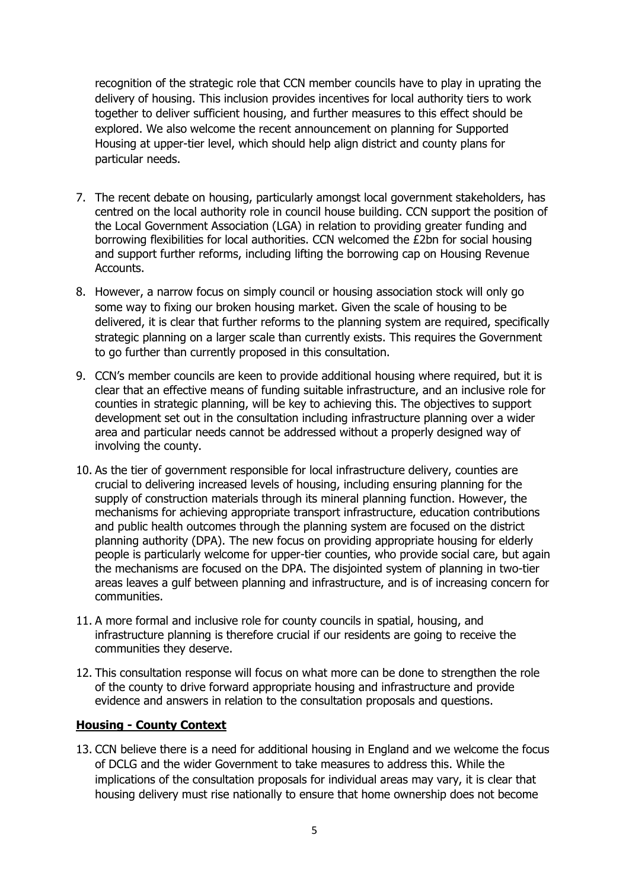recognition of the strategic role that CCN member councils have to play in uprating the delivery of housing. This inclusion provides incentives for local authority tiers to work together to deliver sufficient housing, and further measures to this effect should be explored. We also welcome the recent announcement on planning for Supported Housing at upper-tier level, which should help align district and county plans for particular needs.

- 7. The recent debate on housing, particularly amongst local government stakeholders, has centred on the local authority role in council house building. CCN support the position of the Local Government Association (LGA) in relation to providing greater funding and borrowing flexibilities for local authorities. CCN welcomed the £2bn for social housing and support further reforms, including lifting the borrowing cap on Housing Revenue Accounts.
- 8. However, a narrow focus on simply council or housing association stock will only go some way to fixing our broken housing market. Given the scale of housing to be delivered, it is clear that further reforms to the planning system are required, specifically strategic planning on a larger scale than currently exists. This requires the Government to go further than currently proposed in this consultation.
- 9. CCN's member councils are keen to provide additional housing where required, but it is clear that an effective means of funding suitable infrastructure, and an inclusive role for counties in strategic planning, will be key to achieving this. The objectives to support development set out in the consultation including infrastructure planning over a wider area and particular needs cannot be addressed without a properly designed way of involving the county.
- 10. As the tier of government responsible for local infrastructure delivery, counties are crucial to delivering increased levels of housing, including ensuring planning for the supply of construction materials through its mineral planning function. However, the mechanisms for achieving appropriate transport infrastructure, education contributions and public health outcomes through the planning system are focused on the district planning authority (DPA). The new focus on providing appropriate housing for elderly people is particularly welcome for upper-tier counties, who provide social care, but again the mechanisms are focused on the DPA. The disjointed system of planning in two-tier areas leaves a gulf between planning and infrastructure, and is of increasing concern for communities.
- 11. A more formal and inclusive role for county councils in spatial, housing, and infrastructure planning is therefore crucial if our residents are going to receive the communities they deserve.
- 12. This consultation response will focus on what more can be done to strengthen the role of the county to drive forward appropriate housing and infrastructure and provide evidence and answers in relation to the consultation proposals and questions.

#### **Housing - County Context**

13. CCN believe there is a need for additional housing in England and we welcome the focus of DCLG and the wider Government to take measures to address this. While the implications of the consultation proposals for individual areas may vary, it is clear that housing delivery must rise nationally to ensure that home ownership does not become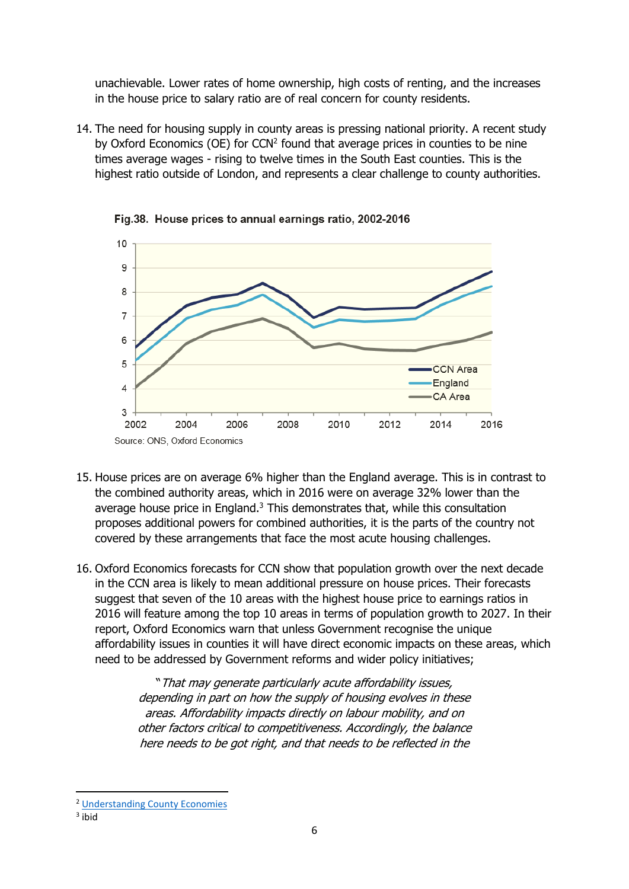unachievable. Lower rates of home ownership, high costs of renting, and the increases in the house price to salary ratio are of real concern for county residents.

14. The need for housing supply in county areas is pressing national priority. A recent study by Oxford Economics (OE) for CCN<sup>2</sup> found that average prices in counties to be nine times average wages - rising to twelve times in the South East counties. This is the highest ratio outside of London, and represents a clear challenge to county authorities.



Fig.38. House prices to annual earnings ratio, 2002-2016

- 15. House prices are on average 6% higher than the England average. This is in contrast to the combined authority areas, which in 2016 were on average 32% lower than the average house price in England. $3$  This demonstrates that, while this consultation proposes additional powers for combined authorities, it is the parts of the country not covered by these arrangements that face the most acute housing challenges.
- 16. Oxford Economics forecasts for CCN show that population growth over the next decade in the CCN area is likely to mean additional pressure on house prices. Their forecasts suggest that seven of the 10 areas with the highest house price to earnings ratios in 2016 will feature among the top 10 areas in terms of population growth to 2027. In their report, Oxford Economics warn that unless Government recognise the unique affordability issues in counties it will have direct economic impacts on these areas, which need to be addressed by Government reforms and wider policy initiatives;

"That may generate particularly acute affordability issues, depending in part on how the supply of housing evolves in these areas. Affordability impacts directly on labour mobility, and on other factors critical to competitiveness. Accordingly, the balance here needs to be got right, and that needs to be reflected in the

<sup>2</sup> [Understanding County Economies](https://www.countycouncilsnetwork.org.uk/download/901/) 

<sup>&</sup>lt;sup>3</sup> ibid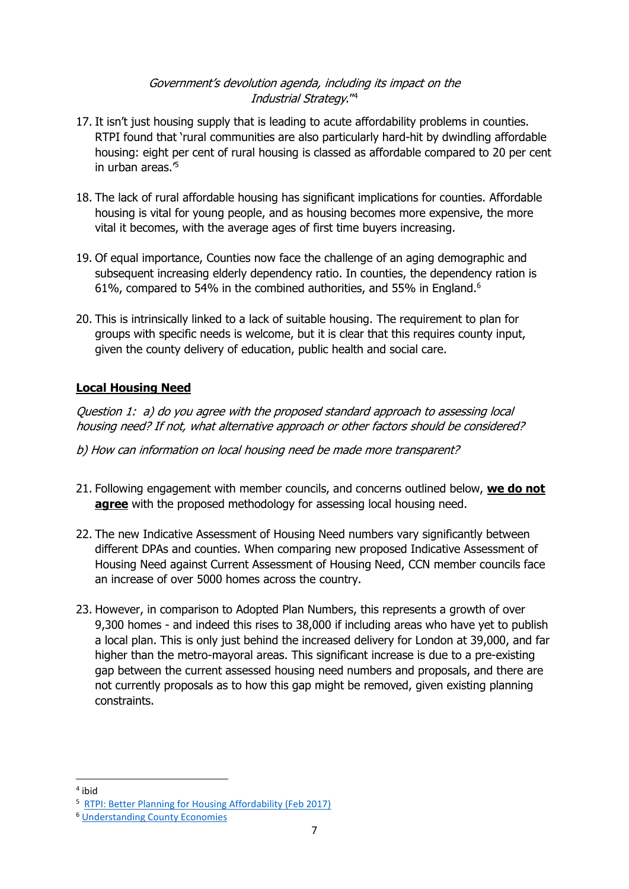#### Government's devolution agenda, including its impact on the Industrial Strategy." 4

- 17. It isn't just housing supply that is leading to acute affordability problems in counties. RTPI found that 'rural communities are also particularly hard-hit by dwindling affordable housing: eight per cent of rural housing is classed as affordable compared to 20 per cent in urban areas.'<sup>5</sup>
- 18. The lack of rural affordable housing has significant implications for counties. Affordable housing is vital for young people, and as housing becomes more expensive, the more vital it becomes, with the average ages of first time buyers increasing.
- 19. Of equal importance, Counties now face the challenge of an aging demographic and subsequent increasing elderly dependency ratio. In counties, the dependency ration is 61%, compared to 54% in the combined authorities, and 55% in England.<sup>6</sup>
- 20. This is intrinsically linked to a lack of suitable housing. The requirement to plan for groups with specific needs is welcome, but it is clear that this requires county input, given the county delivery of education, public health and social care.

# **Local Housing Need**

Question 1: a) do you agree with the proposed standard approach to assessing local housing need? If not, what alternative approach or other factors should be considered?

b) How can information on local housing need be made more transparent?

- 21. Following engagement with member councils, and concerns outlined below, **we do not agree** with the proposed methodology for assessing local housing need.
- 22. The new Indicative Assessment of Housing Need numbers vary significantly between different DPAs and counties. When comparing new proposed Indicative Assessment of Housing Need against Current Assessment of Housing Need, CCN member councils face an increase of over 5000 homes across the country.
- 23. However, in comparison to Adopted Plan Numbers, this represents a growth of over 9,300 homes - and indeed this rises to 38,000 if including areas who have yet to publish a local plan. This is only just behind the increased delivery for London at 39,000, and far higher than the metro-mayoral areas. This significant increase is due to a pre-existing gap between the current assessed housing need numbers and proposals, and there are not currently proposals as to how this gap might be removed, given existing planning constraints.

**.** 

<sup>4</sup> ibid

<sup>&</sup>lt;sup>5</sup> [RTPI: Better Planning for Housing Affordability \(Feb 2017\)](http://www.rtpi.org.uk/media/2220516/rtpi_better_planning_housing_affordability_position_paper_-_february_2017.pdf)

<sup>6</sup> [Understanding County Economies](https://www.countycouncilsnetwork.org.uk/download/901/)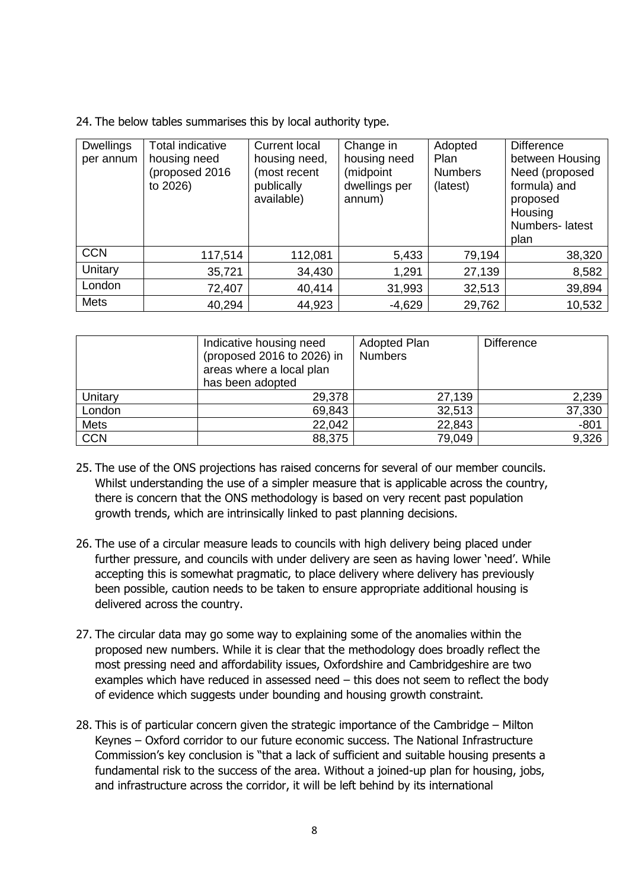24. The below tables summarises this by local authority type.

| <b>Dwellings</b><br>per annum | <b>Total indicative</b><br>housing need<br>(proposed 2016<br>to 2026) | <b>Current local</b><br>housing need,<br>(most recent<br>publically<br>available) | Change in<br>housing need<br>(midpoint<br>dwellings per<br>annum) | Adopted<br><b>Plan</b><br><b>Numbers</b><br>(latest) | <b>Difference</b><br>between Housing<br>Need (proposed<br>formula) and<br>proposed<br>Housing<br>Numbers-latest<br>plan |
|-------------------------------|-----------------------------------------------------------------------|-----------------------------------------------------------------------------------|-------------------------------------------------------------------|------------------------------------------------------|-------------------------------------------------------------------------------------------------------------------------|
| <b>CCN</b>                    | 117,514                                                               | 112,081                                                                           | 5,433                                                             | 79,194                                               | 38,320                                                                                                                  |
| Unitary                       | 35,721                                                                | 34,430                                                                            | 1,291                                                             | 27,139                                               | 8,582                                                                                                                   |
| London                        | 72,407                                                                | 40,414                                                                            | 31,993                                                            | 32,513                                               | 39,894                                                                                                                  |
| <b>Mets</b>                   | 40,294                                                                | 44,923                                                                            | $-4,629$                                                          | 29,762                                               | 10,532                                                                                                                  |

|            | Indicative housing need<br>(proposed 2016 to 2026) in<br>areas where a local plan<br>has been adopted | Adopted Plan<br><b>Numbers</b> | <b>Difference</b> |
|------------|-------------------------------------------------------------------------------------------------------|--------------------------------|-------------------|
| Unitary    | 29,378                                                                                                | 27,139                         | 2,239             |
| London     | 69,843                                                                                                | 32,513                         | 37,330            |
| Mets       | 22,042                                                                                                | 22,843                         | $-801$            |
| <b>CCN</b> | 88,375                                                                                                | 79,049                         | 9,326             |

- 25. The use of the ONS projections has raised concerns for several of our member councils. Whilst understanding the use of a simpler measure that is applicable across the country, there is concern that the ONS methodology is based on very recent past population growth trends, which are intrinsically linked to past planning decisions.
- 26. The use of a circular measure leads to councils with high delivery being placed under further pressure, and councils with under delivery are seen as having lower 'need'. While accepting this is somewhat pragmatic, to place delivery where delivery has previously been possible, caution needs to be taken to ensure appropriate additional housing is delivered across the country.
- 27. The circular data may go some way to explaining some of the anomalies within the proposed new numbers. While it is clear that the methodology does broadly reflect the most pressing need and affordability issues, Oxfordshire and Cambridgeshire are two examples which have reduced in assessed need – this does not seem to reflect the body of evidence which suggests under bounding and housing growth constraint.
- 28. This is of particular concern given the strategic importance of the Cambridge Milton Keynes – Oxford corridor to our future economic success. The National Infrastructure Commission's key conclusion is "that a lack of sufficient and suitable housing presents a fundamental risk to the success of the area. Without a joined-up plan for housing, jobs, and infrastructure across the corridor, it will be left behind by its international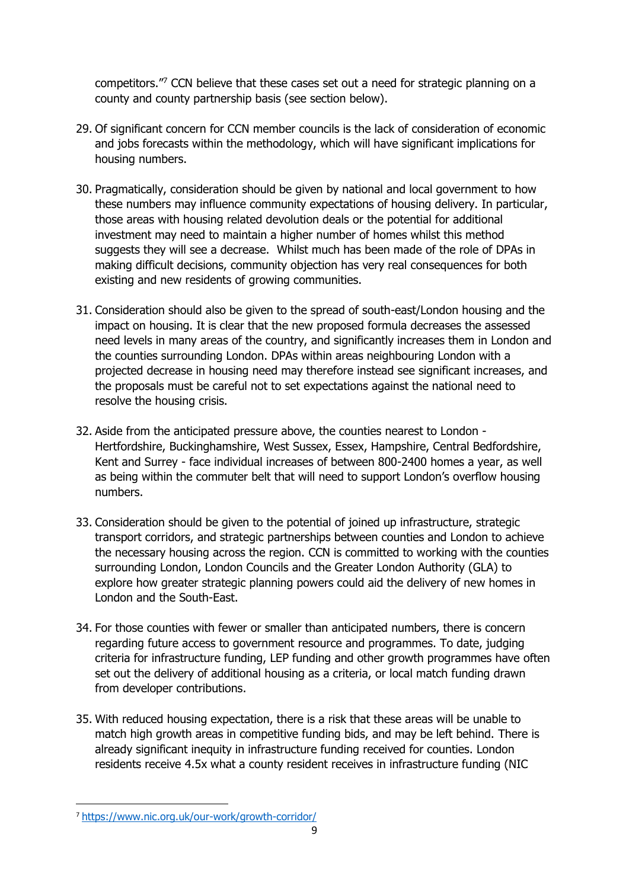competitors."<sup>7</sup> CCN believe that these cases set out a need for strategic planning on a county and county partnership basis (see section below).

- 29. Of significant concern for CCN member councils is the lack of consideration of economic and jobs forecasts within the methodology, which will have significant implications for housing numbers.
- 30. Pragmatically, consideration should be given by national and local government to how these numbers may influence community expectations of housing delivery. In particular, those areas with housing related devolution deals or the potential for additional investment may need to maintain a higher number of homes whilst this method suggests they will see a decrease. Whilst much has been made of the role of DPAs in making difficult decisions, community objection has very real consequences for both existing and new residents of growing communities.
- 31. Consideration should also be given to the spread of south-east/London housing and the impact on housing. It is clear that the new proposed formula decreases the assessed need levels in many areas of the country, and significantly increases them in London and the counties surrounding London. DPAs within areas neighbouring London with a projected decrease in housing need may therefore instead see significant increases, and the proposals must be careful not to set expectations against the national need to resolve the housing crisis.
- 32. Aside from the anticipated pressure above, the counties nearest to London Hertfordshire, Buckinghamshire, West Sussex, Essex, Hampshire, Central Bedfordshire, Kent and Surrey - face individual increases of between 800-2400 homes a year, as well as being within the commuter belt that will need to support London's overflow housing numbers.
- 33. Consideration should be given to the potential of joined up infrastructure, strategic transport corridors, and strategic partnerships between counties and London to achieve the necessary housing across the region. CCN is committed to working with the counties surrounding London, London Councils and the Greater London Authority (GLA) to explore how greater strategic planning powers could aid the delivery of new homes in London and the South-East.
- 34. For those counties with fewer or smaller than anticipated numbers, there is concern regarding future access to government resource and programmes. To date, judging criteria for infrastructure funding, LEP funding and other growth programmes have often set out the delivery of additional housing as a criteria, or local match funding drawn from developer contributions.
- 35. With reduced housing expectation, there is a risk that these areas will be unable to match high growth areas in competitive funding bids, and may be left behind. There is already significant inequity in infrastructure funding received for counties. London residents receive 4.5x what a county resident receives in infrastructure funding (NIC

<sup>7</sup> <https://www.nic.org.uk/our-work/growth-corridor/>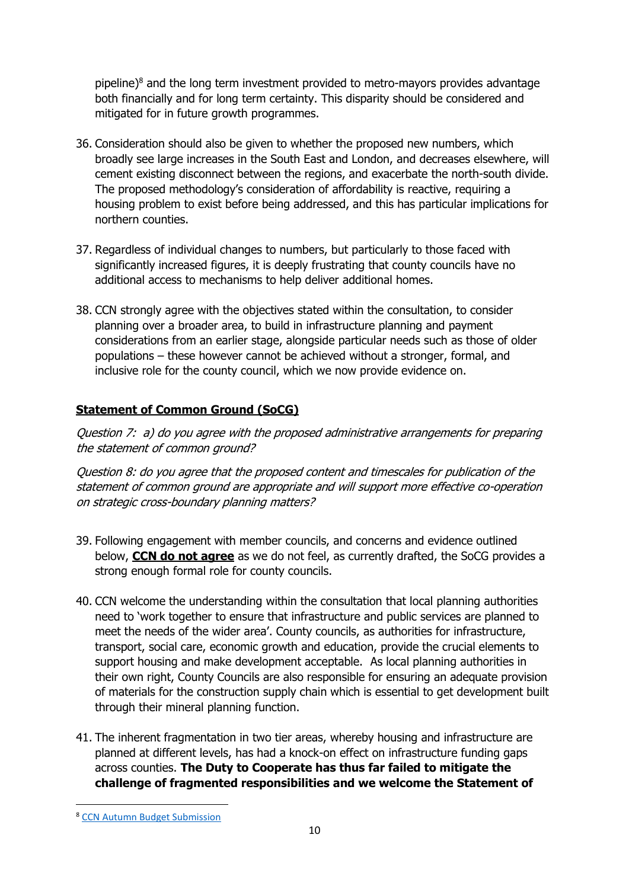pipeline) $8$  and the long term investment provided to metro-mayors provides advantage both financially and for long term certainty. This disparity should be considered and mitigated for in future growth programmes.

- 36. Consideration should also be given to whether the proposed new numbers, which broadly see large increases in the South East and London, and decreases elsewhere, will cement existing disconnect between the regions, and exacerbate the north-south divide. The proposed methodology's consideration of affordability is reactive, requiring a housing problem to exist before being addressed, and this has particular implications for northern counties.
- 37. Regardless of individual changes to numbers, but particularly to those faced with significantly increased figures, it is deeply frustrating that county councils have no additional access to mechanisms to help deliver additional homes.
- 38. CCN strongly agree with the objectives stated within the consultation, to consider planning over a broader area, to build in infrastructure planning and payment considerations from an earlier stage, alongside particular needs such as those of older populations – these however cannot be achieved without a stronger, formal, and inclusive role for the county council, which we now provide evidence on.

### **Statement of Common Ground (SoCG)**

Question 7: a) do you agree with the proposed administrative arrangements for preparing the statement of common ground?

Question 8: do you agree that the proposed content and timescales for publication of the statement of common ground are appropriate and will support more effective co-operation on strategic cross-boundary planning matters?

- 39. Following engagement with member councils, and concerns and evidence outlined below, **CCN do not agree** as we do not feel, as currently drafted, the SoCG provides a strong enough formal role for county councils.
- 40. CCN welcome the understanding within the consultation that local planning authorities need to 'work together to ensure that infrastructure and public services are planned to meet the needs of the wider area'. County councils, as authorities for infrastructure, transport, social care, economic growth and education, provide the crucial elements to support housing and make development acceptable. As local planning authorities in their own right, County Councils are also responsible for ensuring an adequate provision of materials for the construction supply chain which is essential to get development built through their mineral planning function.
- 41. The inherent fragmentation in two tier areas, whereby housing and infrastructure are planned at different levels, has had a knock-on effect on infrastructure funding gaps across counties. **The Duty to Cooperate has thus far failed to mitigate the challenge of fragmented responsibilities and we welcome the Statement of**

**.** 

<sup>8</sup> [CCN Autumn Budget Submission](https://www.countycouncilsnetwork.org.uk/ccn-autumn-budget-submission-situation-rapidly-becoming-unsustainable-say-county-leaders/)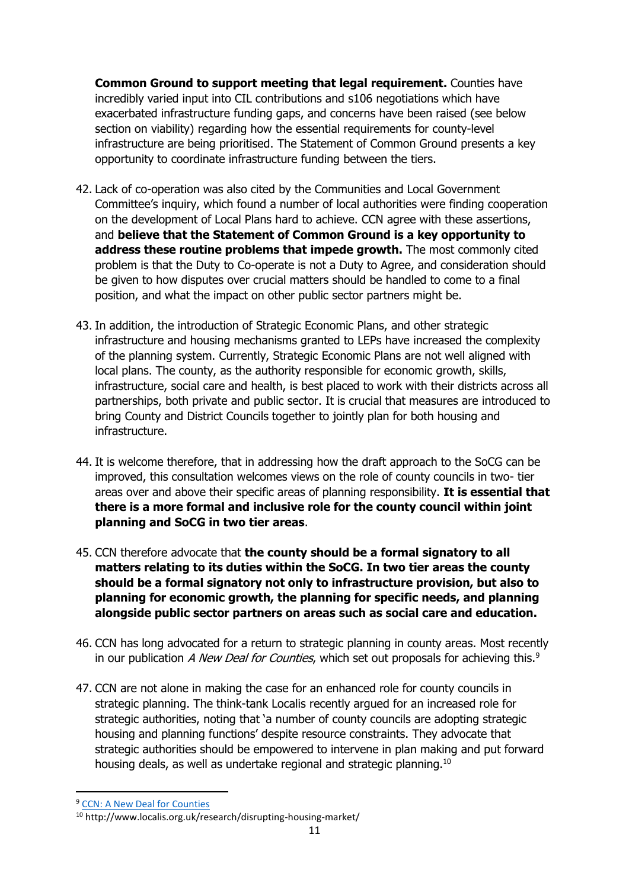**Common Ground to support meeting that legal requirement.** Counties have incredibly varied input into CIL contributions and s106 negotiations which have exacerbated infrastructure funding gaps, and concerns have been raised (see below section on viability) regarding how the essential requirements for county-level infrastructure are being prioritised. The Statement of Common Ground presents a key opportunity to coordinate infrastructure funding between the tiers.

- 42. Lack of co-operation was also cited by the Communities and Local Government Committee's inquiry, which found a number of local authorities were finding cooperation on the development of Local Plans hard to achieve. CCN agree with these assertions, and **believe that the Statement of Common Ground is a key opportunity to address these routine problems that impede growth.** The most commonly cited problem is that the Duty to Co-operate is not a Duty to Agree, and consideration should be given to how disputes over crucial matters should be handled to come to a final position, and what the impact on other public sector partners might be.
- 43. In addition, the introduction of Strategic Economic Plans, and other strategic infrastructure and housing mechanisms granted to LEPs have increased the complexity of the planning system. Currently, Strategic Economic Plans are not well aligned with local plans. The county, as the authority responsible for economic growth, skills, infrastructure, social care and health, is best placed to work with their districts across all partnerships, both private and public sector. It is crucial that measures are introduced to bring County and District Councils together to jointly plan for both housing and infrastructure.
- 44. It is welcome therefore, that in addressing how the draft approach to the SoCG can be improved, this consultation welcomes views on the role of county councils in two- tier areas over and above their specific areas of planning responsibility. **It is essential that there is a more formal and inclusive role for the county council within joint planning and SoCG in two tier areas**.
- 45. CCN therefore advocate that **the county should be a formal signatory to all matters relating to its duties within the SoCG. In two tier areas the county should be a formal signatory not only to infrastructure provision, but also to planning for economic growth, the planning for specific needs, and planning alongside public sector partners on areas such as social care and education.**
- 46. CCN has long advocated for a return to strategic planning in county areas. Most recently in our publication A New Deal for Counties, which set out proposals for achieving this.<sup>9</sup>
- 47. CCN are not alone in making the case for an enhanced role for county councils in strategic planning. The think-tank Localis recently argued for an increased role for strategic authorities, noting that 'a number of county councils are adopting strategic housing and planning functions' despite resource constraints. They advocate that strategic authorities should be empowered to intervene in plan making and put forward housing deals, as well as undertake regional and strategic planning.<sup>10</sup>

<sup>9</sup> [CCN: A New Deal for Counties](https://www.countycouncilsnetwork.org.uk/counties-call-new-deal-following-general-election/)

<sup>10</sup> http://www.localis.org.uk/research/disrupting-housing-market/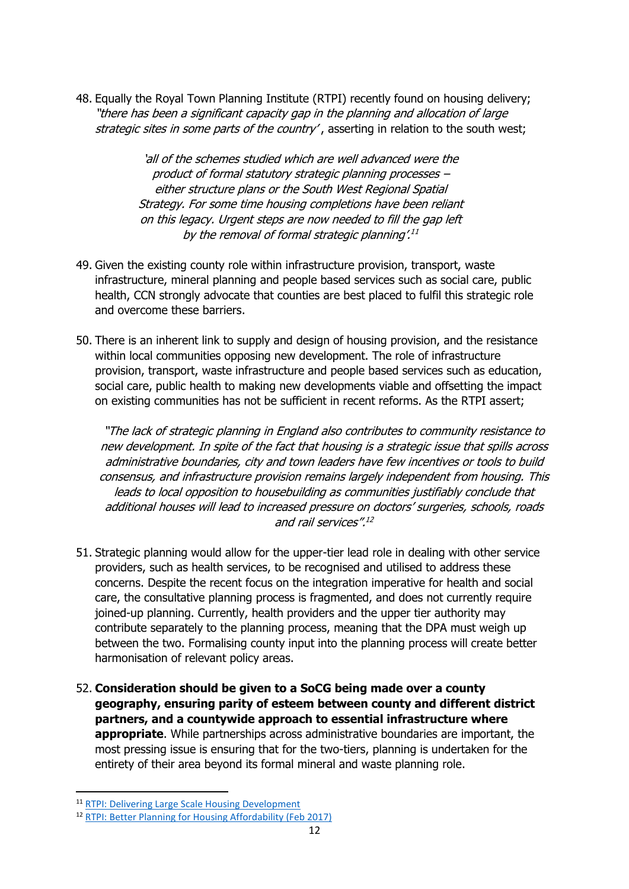48. Equally the Royal Town Planning Institute (RTPI) recently found on housing delivery; "there has been a significant capacity gap in the planning and allocation of large strategic sites in some parts of the country', asserting in relation to the south west;

> 'all of the schemes studied which are well advanced were the product of formal statutory strategic planning processes – either structure plans or the South West Regional Spatial Strategy. For some time housing completions have been reliant on this legacy. Urgent steps are now needed to fill the gap left by the removal of formal strategic planning'. 11

- 49. Given the existing county role within infrastructure provision, transport, waste infrastructure, mineral planning and people based services such as social care, public health, CCN strongly advocate that counties are best placed to fulfil this strategic role and overcome these barriers.
- 50. There is an inherent link to supply and design of housing provision, and the resistance within local communities opposing new development. The role of infrastructure provision, transport, waste infrastructure and people based services such as education, social care, public health to making new developments viable and offsetting the impact on existing communities has not be sufficient in recent reforms. As the RTPI assert;

"The lack of strategic planning in England also contributes to community resistance to new development. In spite of the fact that housing is a strategic issue that spills across administrative boundaries, city and town leaders have few incentives or tools to build consensus, and infrastructure provision remains largely independent from housing. This leads to local opposition to housebuilding as communities justifiably conclude that additional houses will lead to increased pressure on doctors' surgeries, schools, roads and rail services". 12

- 51. Strategic planning would allow for the upper-tier lead role in dealing with other service providers, such as health services, to be recognised and utilised to address these concerns. Despite the recent focus on the integration imperative for health and social care, the consultative planning process is fragmented, and does not currently require joined-up planning. Currently, health providers and the upper tier authority may contribute separately to the planning process, meaning that the DPA must weigh up between the two. Formalising county input into the planning process will create better harmonisation of relevant policy areas.
- 52. **Consideration should be given to a SoCG being made over a county geography, ensuring parity of esteem between county and different district partners, and a countywide approach to essential infrastructure where appropriate**. While partnerships across administrative boundaries are important, the most pressing issue is ensuring that for the two-tiers, planning is undertaken for the entirety of their area beyond its formal mineral and waste planning role.

<sup>11</sup> [RTPI: Delivering Large Scale Housing Development](http://www.rtpi.org.uk/media/2556134/RB21-Deliverability-and-Affordability-of-Housing-in-SW.pdf)

<sup>12</sup> [RTPI: Better Planning for Housing Affordability \(Feb 2017\)](http://www.rtpi.org.uk/media/2220516/rtpi_better_planning_housing_affordability_position_paper_-_february_2017.pdf)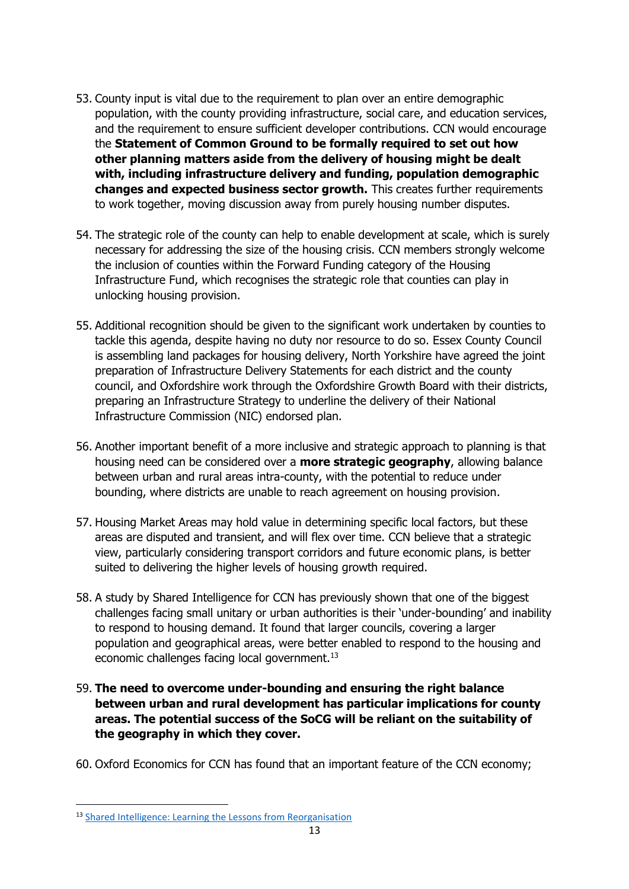- 53. County input is vital due to the requirement to plan over an entire demographic population, with the county providing infrastructure, social care, and education services, and the requirement to ensure sufficient developer contributions. CCN would encourage the **Statement of Common Ground to be formally required to set out how other planning matters aside from the delivery of housing might be dealt with, including infrastructure delivery and funding, population demographic changes and expected business sector growth.** This creates further requirements to work together, moving discussion away from purely housing number disputes.
- 54. The strategic role of the county can help to enable development at scale, which is surely necessary for addressing the size of the housing crisis. CCN members strongly welcome the inclusion of counties within the Forward Funding category of the Housing Infrastructure Fund, which recognises the strategic role that counties can play in unlocking housing provision.
- 55. Additional recognition should be given to the significant work undertaken by counties to tackle this agenda, despite having no duty nor resource to do so. Essex County Council is assembling land packages for housing delivery, North Yorkshire have agreed the joint preparation of Infrastructure Delivery Statements for each district and the county council, and Oxfordshire work through the Oxfordshire Growth Board with their districts, preparing an Infrastructure Strategy to underline the delivery of their National Infrastructure Commission (NIC) endorsed plan.
- 56. Another important benefit of a more inclusive and strategic approach to planning is that housing need can be considered over a **more strategic geography**, allowing balance between urban and rural areas intra-county, with the potential to reduce under bounding, where districts are unable to reach agreement on housing provision.
- 57. Housing Market Areas may hold value in determining specific local factors, but these areas are disputed and transient, and will flex over time. CCN believe that a strategic view, particularly considering transport corridors and future economic plans, is better suited to delivering the higher levels of housing growth required.
- 58. A study by Shared Intelligence for CCN has previously shown that one of the biggest challenges facing small unitary or urban authorities is their 'under-bounding' and inability to respond to housing demand. It found that larger councils, covering a larger population and geographical areas, were better enabled to respond to the housing and economic challenges facing local government.<sup>13</sup>
- 59. **The need to overcome under-bounding and ensuring the right balance between urban and rural development has particular implications for county areas. The potential success of the SoCG will be reliant on the suitability of the geography in which they cover.**
- 60. Oxford Economics for CCN has found that an important feature of the CCN economy;

**<sup>.</sup>** <sup>13</sup> [Shared Intelligence: Learning the Lessons from Reorganisation](https://www.countycouncilsnetwork.org.uk/news/2016/nov/ccn-sets-evidence-potential-local-government-reorganisation/)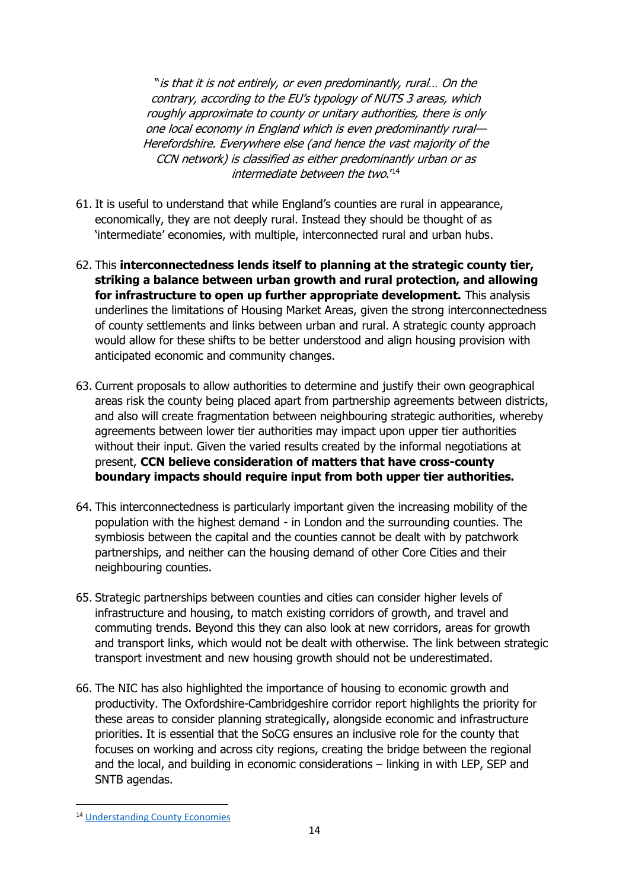"is that it is not entirely, or even predominantly, rural… On the contrary, according to the EU's typology of NUTS 3 areas, which roughly approximate to county or unitary authorities, there is only one local economy in England which is even predominantly rural— Herefordshire. Everywhere else (and hence the vast majority of the CCN network) is classified as either predominantly urban or as intermediate between the two.'<sup>14</sup>

- 61. It is useful to understand that while England's counties are rural in appearance, economically, they are not deeply rural. Instead they should be thought of as 'intermediate' economies, with multiple, interconnected rural and urban hubs.
- 62. This **interconnectedness lends itself to planning at the strategic county tier, striking a balance between urban growth and rural protection, and allowing for infrastructure to open up further appropriate development.** This analysis underlines the limitations of Housing Market Areas, given the strong interconnectedness of county settlements and links between urban and rural. A strategic county approach would allow for these shifts to be better understood and align housing provision with anticipated economic and community changes.
- 63. Current proposals to allow authorities to determine and justify their own geographical areas risk the county being placed apart from partnership agreements between districts, and also will create fragmentation between neighbouring strategic authorities, whereby agreements between lower tier authorities may impact upon upper tier authorities without their input. Given the varied results created by the informal negotiations at present, **CCN believe consideration of matters that have cross-county boundary impacts should require input from both upper tier authorities.**
- 64. This interconnectedness is particularly important given the increasing mobility of the population with the highest demand - in London and the surrounding counties. The symbiosis between the capital and the counties cannot be dealt with by patchwork partnerships, and neither can the housing demand of other Core Cities and their neighbouring counties.
- 65. Strategic partnerships between counties and cities can consider higher levels of infrastructure and housing, to match existing corridors of growth, and travel and commuting trends. Beyond this they can also look at new corridors, areas for growth and transport links, which would not be dealt with otherwise. The link between strategic transport investment and new housing growth should not be underestimated.
- 66. The NIC has also highlighted the importance of housing to economic growth and productivity. The Oxfordshire-Cambridgeshire corridor report highlights the priority for these areas to consider planning strategically, alongside economic and infrastructure priorities. It is essential that the SoCG ensures an inclusive role for the county that focuses on working and across city regions, creating the bridge between the regional and the local, and building in economic considerations – linking in with LEP, SEP and SNTB agendas.

**.** 

<sup>14</sup> [Understanding County Economies](https://www.countycouncilsnetwork.org.uk/download/901/)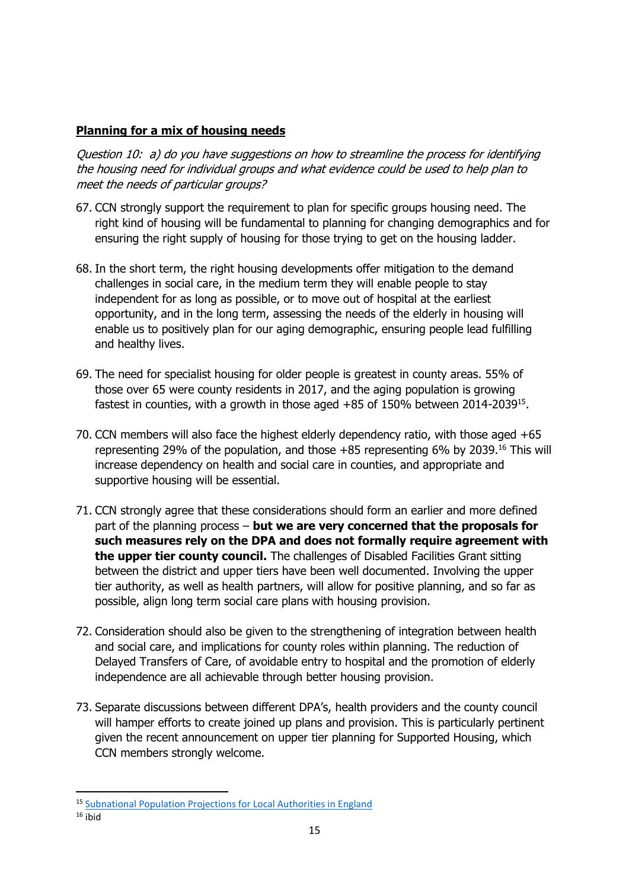### **Planning for a mix of housing needs**

Question 10: a) do you have suggestions on how to streamline the process for identifying the housing need for individual groups and what evidence could be used to help plan to meet the needs of particular groups?

- 67. CCN strongly support the requirement to plan for specific groups housing need. The right kind of housing will be fundamental to planning for changing demographics and for ensuring the right supply of housing for those trying to get on the housing ladder.
- 68. In the short term, the right housing developments offer mitigation to the demand challenges in social care, in the medium term they will enable people to stay independent for as long as possible, or to move out of hospital at the earliest opportunity, and in the long term, assessing the needs of the elderly in housing will enable us to positively plan for our aging demographic, ensuring people lead fulfilling and healthy lives.
- 69. The need for specialist housing for older people is greatest in county areas. 55% of those over 65 were county residents in 2017, and the aging population is growing fastest in counties, with a growth in those aged  $+85$  of 150% between 2014-2039<sup>15</sup>.
- 70. CCN members will also face the highest elderly dependency ratio, with those aged +65 representing 29% of the population, and those  $+85$  representing 6% by 2039.<sup>16</sup> This will increase dependency on health and social care in counties, and appropriate and supportive housing will be essential.
- 71. CCN strongly agree that these considerations should form an earlier and more defined part of the planning process – **but we are very concerned that the proposals for such measures rely on the DPA and does not formally require agreement with the upper tier county council.** The challenges of Disabled Facilities Grant sitting between the district and upper tiers have been well documented. Involving the upper tier authority, as well as health partners, will allow for positive planning, and so far as possible, align long term social care plans with housing provision.
- 72. Consideration should also be given to the strengthening of integration between health and social care, and implications for county roles within planning. The reduction of Delayed Transfers of Care, of avoidable entry to hospital and the promotion of elderly independence are all achievable through better housing provision.
- 73. Separate discussions between different DPA's, health providers and the county council will hamper efforts to create joined up plans and provision. This is particularly pertinent given the recent announcement on upper tier planning for Supported Housing, which CCN members strongly welcome.

<sup>15</sup> [Subnational Population Projections for Local Authorities in England](https://www.ons.gov.uk/peoplepopulationandcommunity/populationandmigration/populationprojections/datasets/localauthoritiesinenglandtable2)

 $16$  ihid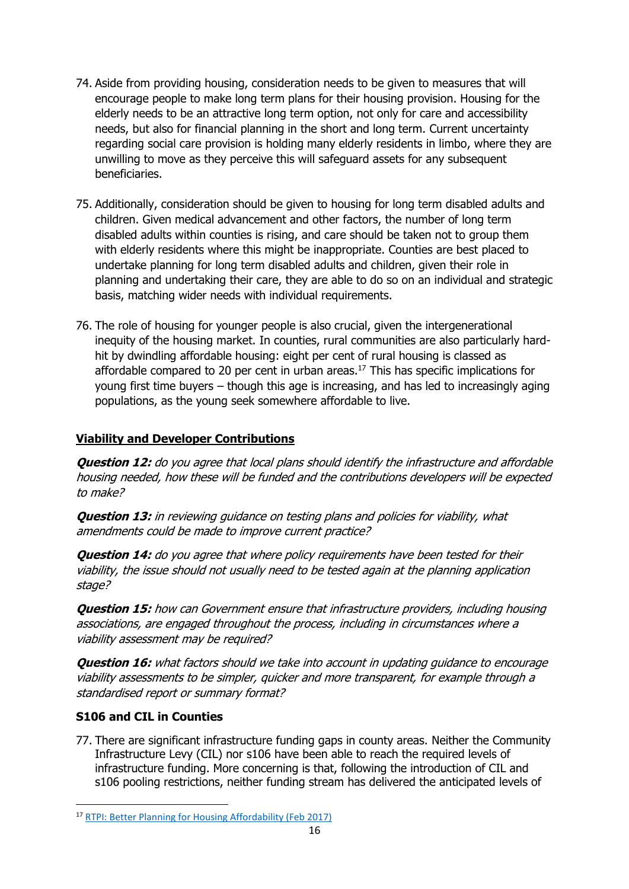- 74. Aside from providing housing, consideration needs to be given to measures that will encourage people to make long term plans for their housing provision. Housing for the elderly needs to be an attractive long term option, not only for care and accessibility needs, but also for financial planning in the short and long term. Current uncertainty regarding social care provision is holding many elderly residents in limbo, where they are unwilling to move as they perceive this will safeguard assets for any subsequent beneficiaries.
- 75. Additionally, consideration should be given to housing for long term disabled adults and children. Given medical advancement and other factors, the number of long term disabled adults within counties is rising, and care should be taken not to group them with elderly residents where this might be inappropriate. Counties are best placed to undertake planning for long term disabled adults and children, given their role in planning and undertaking their care, they are able to do so on an individual and strategic basis, matching wider needs with individual requirements.
- 76. The role of housing for younger people is also crucial, given the intergenerational inequity of the housing market. In counties, rural communities are also particularly hardhit by dwindling affordable housing: eight per cent of rural housing is classed as affordable compared to 20 per cent in urban areas.<sup>17</sup> This has specific implications for young first time buyers – though this age is increasing, and has led to increasingly aging populations, as the young seek somewhere affordable to live.

#### **Viability and Developer Contributions**

**Question 12:** do you agree that local plans should identify the infrastructure and affordable housing needed, how these will be funded and the contributions developers will be expected to make?

**Question 13:** in reviewing quidance on testing plans and policies for viability, what amendments could be made to improve current practice?

**Question 14:** do you agree that where policy requirements have been tested for their viability, the issue should not usually need to be tested again at the planning application stage?

**Question 15:** how can Government ensure that infrastructure providers, including housing associations, are engaged throughout the process, including in circumstances where a viability assessment may be required?

**Question 16:** what factors should we take into account in updating guidance to encourage viability assessments to be simpler, quicker and more transparent, for example through a standardised report or summary format?

#### **S106 and CIL in Counties**

77. There are significant infrastructure funding gaps in county areas. Neither the Community Infrastructure Levy (CIL) nor s106 have been able to reach the required levels of infrastructure funding. More concerning is that, following the introduction of CIL and s106 pooling restrictions, neither funding stream has delivered the anticipated levels of

**<sup>.</sup>** <sup>17</sup> [RTPI: Better Planning for Housing Affordability \(Feb 2017\)](http://www.rtpi.org.uk/media/2220516/rtpi_better_planning_housing_affordability_position_paper_-_february_2017.pdf)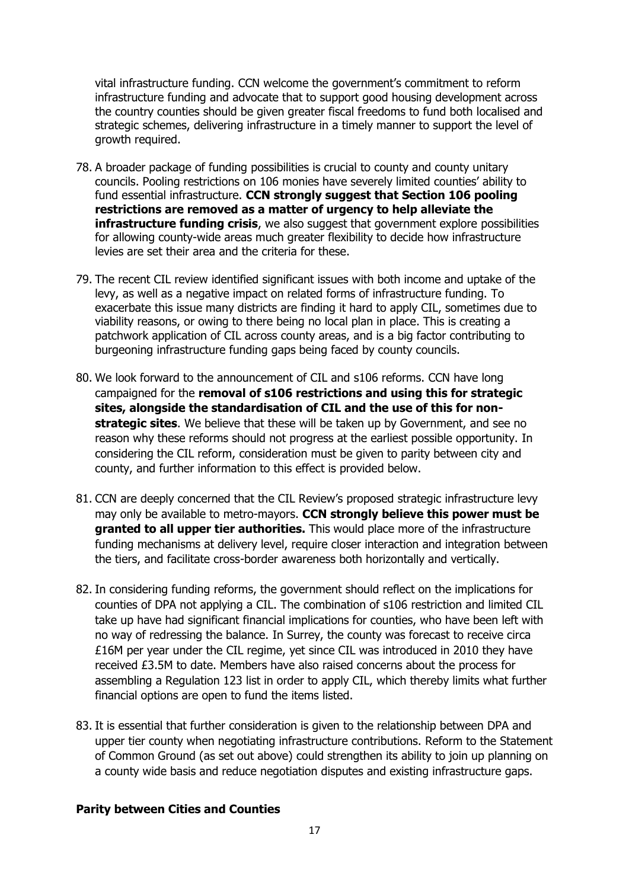vital infrastructure funding. CCN welcome the government's commitment to reform infrastructure funding and advocate that to support good housing development across the country counties should be given greater fiscal freedoms to fund both localised and strategic schemes, delivering infrastructure in a timely manner to support the level of growth required.

- 78. A broader package of funding possibilities is crucial to county and county unitary councils. Pooling restrictions on 106 monies have severely limited counties' ability to fund essential infrastructure. **CCN strongly suggest that Section 106 pooling restrictions are removed as a matter of urgency to help alleviate the infrastructure funding crisis**, we also suggest that government explore possibilities for allowing county-wide areas much greater flexibility to decide how infrastructure levies are set their area and the criteria for these.
- 79. The recent CIL review identified significant issues with both income and uptake of the levy, as well as a negative impact on related forms of infrastructure funding. To exacerbate this issue many districts are finding it hard to apply CIL, sometimes due to viability reasons, or owing to there being no local plan in place. This is creating a patchwork application of CIL across county areas, and is a big factor contributing to burgeoning infrastructure funding gaps being faced by county councils.
- 80. We look forward to the announcement of CIL and s106 reforms. CCN have long campaigned for the **removal of s106 restrictions and using this for strategic sites, alongside the standardisation of CIL and the use of this for nonstrategic sites**. We believe that these will be taken up by Government, and see no reason why these reforms should not progress at the earliest possible opportunity. In considering the CIL reform, consideration must be given to parity between city and county, and further information to this effect is provided below.
- 81. CCN are deeply concerned that the CIL Review's proposed strategic infrastructure levy may only be available to metro-mayors. **CCN strongly believe this power must be granted to all upper tier authorities.** This would place more of the infrastructure funding mechanisms at delivery level, require closer interaction and integration between the tiers, and facilitate cross-border awareness both horizontally and vertically.
- 82. In considering funding reforms, the government should reflect on the implications for counties of DPA not applying a CIL. The combination of s106 restriction and limited CIL take up have had significant financial implications for counties, who have been left with no way of redressing the balance. In Surrey, the county was forecast to receive circa £16M per year under the CIL regime, yet since CIL was introduced in 2010 they have received £3.5M to date. Members have also raised concerns about the process for assembling a Regulation 123 list in order to apply CIL, which thereby limits what further financial options are open to fund the items listed.
- 83. It is essential that further consideration is given to the relationship between DPA and upper tier county when negotiating infrastructure contributions. Reform to the Statement of Common Ground (as set out above) could strengthen its ability to join up planning on a county wide basis and reduce negotiation disputes and existing infrastructure gaps.

#### **Parity between Cities and Counties**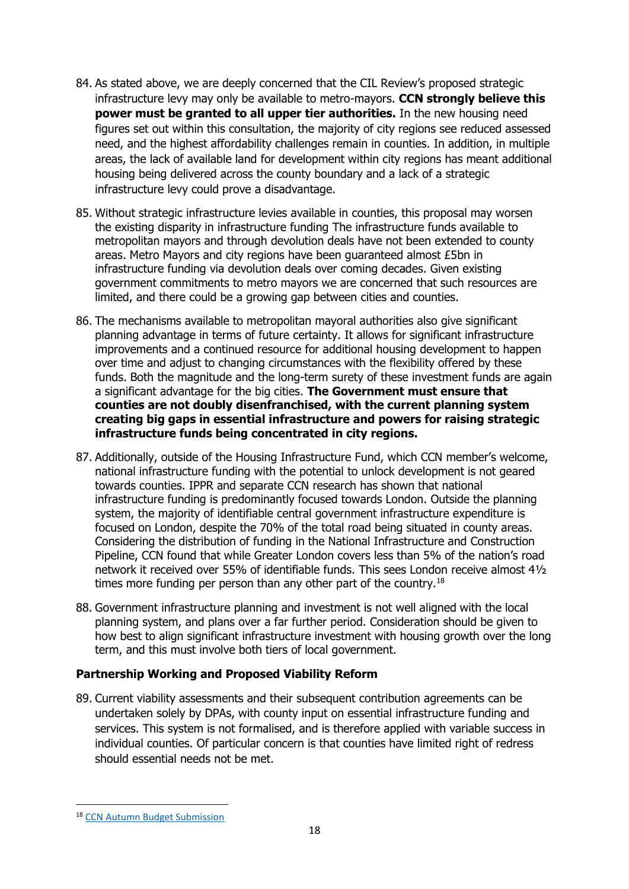- 84. As stated above, we are deeply concerned that the CIL Review's proposed strategic infrastructure levy may only be available to metro-mayors. **CCN strongly believe this power must be granted to all upper tier authorities.** In the new housing need figures set out within this consultation, the majority of city regions see reduced assessed need, and the highest affordability challenges remain in counties. In addition, in multiple areas, the lack of available land for development within city regions has meant additional housing being delivered across the county boundary and a lack of a strategic infrastructure levy could prove a disadvantage.
- 85. Without strategic infrastructure levies available in counties, this proposal may worsen the existing disparity in infrastructure funding The infrastructure funds available to metropolitan mayors and through devolution deals have not been extended to county areas. Metro Mayors and city regions have been guaranteed almost £5bn in infrastructure funding via devolution deals over coming decades. Given existing government commitments to metro mayors we are concerned that such resources are limited, and there could be a growing gap between cities and counties.
- 86. The mechanisms available to metropolitan mayoral authorities also give significant planning advantage in terms of future certainty. It allows for significant infrastructure improvements and a continued resource for additional housing development to happen over time and adjust to changing circumstances with the flexibility offered by these funds. Both the magnitude and the long-term surety of these investment funds are again a significant advantage for the big cities. **The Government must ensure that counties are not doubly disenfranchised, with the current planning system creating big gaps in essential infrastructure and powers for raising strategic infrastructure funds being concentrated in city regions.**
- 87. Additionally, outside of the Housing Infrastructure Fund, which CCN member's welcome, national infrastructure funding with the potential to unlock development is not geared towards counties. IPPR and separate CCN research has shown that national infrastructure funding is predominantly focused towards London. Outside the planning system, the majority of identifiable central government infrastructure expenditure is focused on London, despite the 70% of the total road being situated in county areas. Considering the distribution of funding in the National Infrastructure and Construction Pipeline, CCN found that while Greater London covers less than 5% of the nation's road network it received over 55% of identifiable funds. This sees London receive almost 4½ times more funding per person than any other part of the country.<sup>18</sup>
- 88. Government infrastructure planning and investment is not well aligned with the local planning system, and plans over a far further period. Consideration should be given to how best to align significant infrastructure investment with housing growth over the long term, and this must involve both tiers of local government.

#### **Partnership Working and Proposed Viability Reform**

89. Current viability assessments and their subsequent contribution agreements can be undertaken solely by DPAs, with county input on essential infrastructure funding and services. This system is not formalised, and is therefore applied with variable success in individual counties. Of particular concern is that counties have limited right of redress should essential needs not be met.

**<sup>.</sup>** <sup>18</sup> [CCN Autumn Budget Submission](https://www.countycouncilsnetwork.org.uk/ccn-autumn-budget-submission-situation-rapidly-becoming-unsustainable-say-county-leaders/)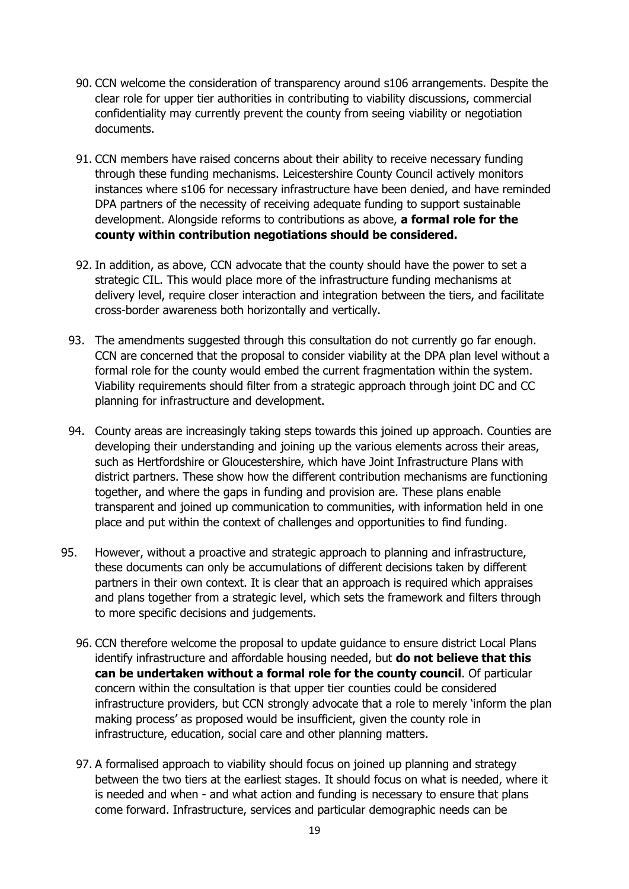- 90. CCN welcome the consideration of transparency around s106 arrangements. Despite the clear role for upper tier authorities in contributing to viability discussions, commercial confidentiality may currently prevent the county from seeing viability or negotiation documents.
- 91. CCN members have raised concerns about their ability to receive necessary funding through these funding mechanisms. Leicestershire County Council actively monitors instances where s106 for necessary infrastructure have been denied, and have reminded DPA partners of the necessity of receiving adequate funding to support sustainable development. Alongside reforms to contributions as above, **a formal role for the county within contribution negotiations should be considered.**
- 92. In addition, as above, CCN advocate that the county should have the power to set a strategic CIL. This would place more of the infrastructure funding mechanisms at delivery level, require closer interaction and integration between the tiers, and facilitate cross-border awareness both horizontally and vertically.
- 93. The amendments suggested through this consultation do not currently go far enough. CCN are concerned that the proposal to consider viability at the DPA plan level without a formal role for the county would embed the current fragmentation within the system. Viability requirements should filter from a strategic approach through joint DC and CC planning for infrastructure and development.
- 94. County areas are increasingly taking steps towards this joined up approach. Counties are developing their understanding and joining up the various elements across their areas, such as Hertfordshire or Gloucestershire, which have Joint Infrastructure Plans with district partners. These show how the different contribution mechanisms are functioning together, and where the gaps in funding and provision are. These plans enable transparent and joined up communication to communities, with information held in one place and put within the context of challenges and opportunities to find funding.
- 95. However, without a proactive and strategic approach to planning and infrastructure, these documents can only be accumulations of different decisions taken by different partners in their own context. It is clear that an approach is required which appraises and plans together from a strategic level, which sets the framework and filters through to more specific decisions and judgements.
	- 96. CCN therefore welcome the proposal to update guidance to ensure district Local Plans identify infrastructure and affordable housing needed, but **do not believe that this can be undertaken without a formal role for the county council**. Of particular concern within the consultation is that upper tier counties could be considered infrastructure providers, but CCN strongly advocate that a role to merely 'inform the plan making process' as proposed would be insufficient, given the county role in infrastructure, education, social care and other planning matters.
	- 97. A formalised approach to viability should focus on joined up planning and strategy between the two tiers at the earliest stages. It should focus on what is needed, where it is needed and when - and what action and funding is necessary to ensure that plans come forward. Infrastructure, services and particular demographic needs can be